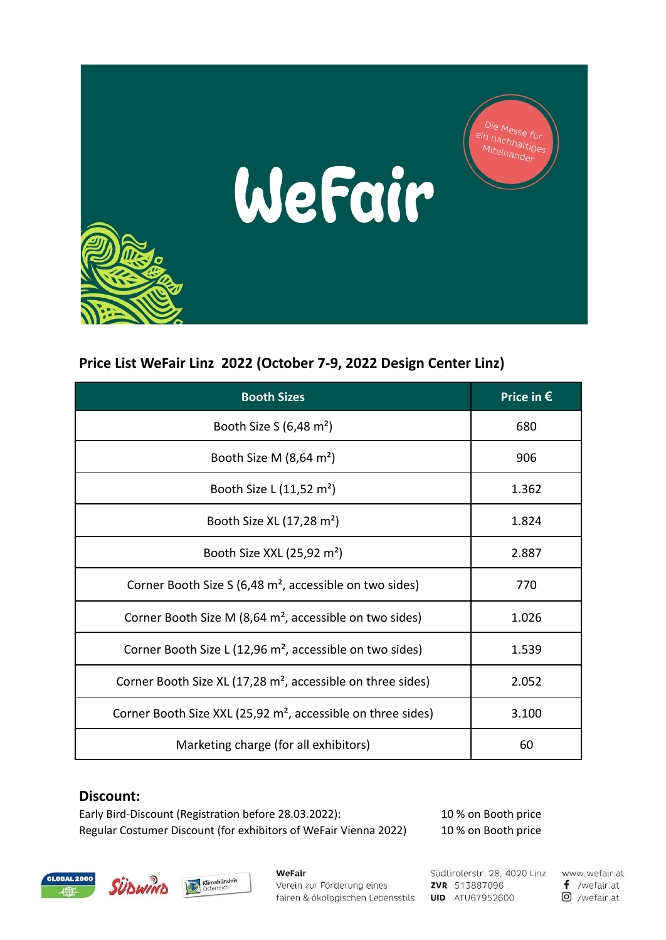

## **Price List WeFair Linz 2022 (October 7-9, 2022 Design Center Linz)**

| <b>Booth Sizes</b>                                                       | Price in $\epsilon$ |
|--------------------------------------------------------------------------|---------------------|
| Booth Size S $(6,48 \text{ m}^2)$                                        | 680                 |
| Booth Size M $(8,64 \text{ m}^2)$                                        | 906                 |
| Booth Size L (11,52 m <sup>2</sup> )                                     | 1.362               |
| Booth Size XL (17,28 m <sup>2</sup> )                                    | 1.824               |
| Booth Size XXL (25,92 m <sup>2</sup> )                                   | 2.887               |
| Corner Booth Size S (6,48 m <sup>2</sup> , accessible on two sides)      | 770                 |
| Corner Booth Size M (8,64 m <sup>2</sup> , accessible on two sides)      | 1.026               |
| Corner Booth Size L (12,96 m <sup>2</sup> , accessible on two sides)     | 1.539               |
| Corner Booth Size XL (17,28 m <sup>2</sup> , accessible on three sides)  | 2.052               |
| Corner Booth Size XXL (25,92 m <sup>2</sup> , accessible on three sides) | 3.100               |
| Marketing charge (for all exhibitors)                                    | 60                  |

## **Discount:**

Early Bird-Discount (Registration before 28.03.2022): 10 % on Booth price Regular Costumer Discount (for exhibitors of WeFair Vienna 2022) 10 % on Booth price

Klimabündnis





WeFalr Verein zur Förderung eines fairen & ökologischen Lebensstils

Südtirolerstr. 28, 4020 Linz ZVR 513887096 **UID** ATU67952600

www.wefair.at  $f$  /wefair.at O /wefair.at